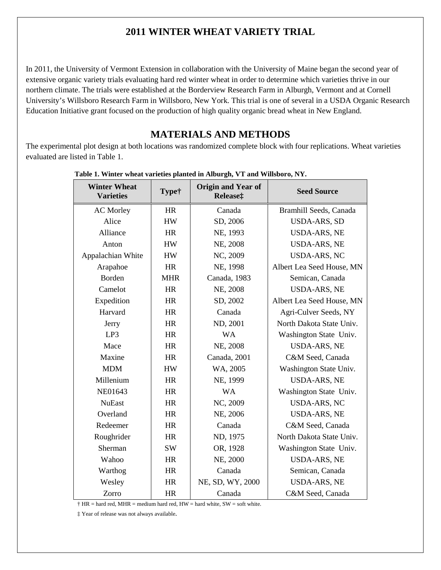# **2011 WINTER WHEAT VARIETY TRIAL**

In 2011, the University of Vermont Extension in collaboration with the University of Maine began the second year of extensive organic variety trials evaluating hard red winter wheat in order to determine which varieties thrive in our northern climate. The trials were established at the Borderview Research Farm in Alburgh, Vermont and at Cornell University's Willsboro Research Farm in Willsboro, New York. This trial is one of several in a USDA Organic Research Education Initiative grant focused on the production of high quality organic bread wheat in New England.

## **MATERIALS AND METHODS**

The experimental plot design at both locations was randomized complete block with four replications. Wheat varieties evaluated are listed in Table 1.

| <b>Winter Wheat</b><br><b>Varieties</b> | Type†      | <b>Origin and Year of</b><br><b>Seed Source</b><br>Release‡ |                           |  |
|-----------------------------------------|------------|-------------------------------------------------------------|---------------------------|--|
| <b>AC</b> Morley                        | <b>HR</b>  | Canada                                                      | Bramhill Seeds, Canada    |  |
| Alice                                   | <b>HW</b>  | SD, 2006                                                    | <b>USDA-ARS, SD</b>       |  |
| Alliance                                | <b>HR</b>  | NE, 1993                                                    | <b>USDA-ARS, NE</b>       |  |
| Anton                                   | <b>HW</b>  | NE, 2008                                                    | <b>USDA-ARS, NE</b>       |  |
| Appalachian White                       | <b>HW</b>  | NC, 2009                                                    | USDA-ARS, NC              |  |
| Arapahoe                                | <b>HR</b>  | NE, 1998                                                    | Albert Lea Seed House, MN |  |
| Borden                                  | <b>MHR</b> | Canada, 1983                                                | Semican, Canada           |  |
| Camelot                                 | HR         | NE, 2008                                                    | <b>USDA-ARS, NE</b>       |  |
| Expedition                              | <b>HR</b>  | SD, 2002                                                    | Albert Lea Seed House, MN |  |
| Harvard                                 | <b>HR</b>  | Canada                                                      | Agri-Culver Seeds, NY     |  |
| Jerry                                   | <b>HR</b>  | ND, 2001                                                    | North Dakota State Univ.  |  |
| LP3                                     | <b>HR</b>  | <b>WA</b>                                                   | Washington State Univ.    |  |
| Mace                                    | <b>HR</b>  | NE, 2008                                                    | <b>USDA-ARS, NE</b>       |  |
| Maxine                                  | <b>HR</b>  | Canada, 2001                                                | C&M Seed, Canada          |  |
| <b>MDM</b>                              | <b>HW</b>  | WA, 2005                                                    | Washington State Univ.    |  |
| Millenium                               | <b>HR</b>  | NE, 1999                                                    | <b>USDA-ARS, NE</b>       |  |
| NE01643                                 | <b>HR</b>  | <b>WA</b>                                                   | Washington State Univ.    |  |
| <b>NuEast</b>                           | <b>HR</b>  | NC, 2009                                                    | <b>USDA-ARS, NC</b>       |  |
| Overland                                | <b>HR</b>  | NE, 2006                                                    | <b>USDA-ARS, NE</b>       |  |
| Redeemer                                | <b>HR</b>  | Canada                                                      | C&M Seed, Canada          |  |
| Roughrider                              | <b>HR</b>  | ND, 1975                                                    | North Dakota State Univ.  |  |
| Sherman                                 | SW         | OR, 1928                                                    | Washington State Univ.    |  |
| Wahoo                                   | <b>HR</b>  | NE, 2000                                                    | <b>USDA-ARS, NE</b>       |  |
| Warthog                                 | <b>HR</b>  | Canada<br>Semican, Canada                                   |                           |  |
| Wesley                                  | <b>HR</b>  | NE, SD, WY, 2000                                            | USDA-ARS, NE              |  |
| Zorro                                   | <b>HR</b>  | Canada                                                      | C&M Seed, Canada          |  |

#### **Table 1. Winter wheat varieties planted in Alburgh, VT and Willsboro, NY.**

 $\dagger$  HR = hard red, MHR = medium hard red, HW = hard white, SW = soft white.

‡ Year of release was not always available.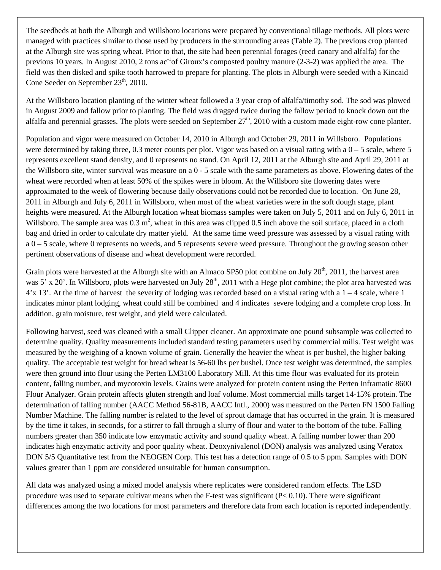The seedbeds at both the Alburgh and Willsboro locations were prepared by conventional tillage methods. All plots were managed with practices similar to those used by producers in the surrounding areas (Table 2). The previous crop planted at the Alburgh site was spring wheat. Prior to that, the site had been perennial forages (reed canary and alfalfa) for the previous 10 years. In August 2010, 2 tons ac<sup>-1</sup>of Giroux's composted poultry manure (2-3-2) was applied the area. The field was then disked and spike tooth harrowed to prepare for planting. The plots in Alburgh were seeded with a Kincaid Cone Seeder on September  $23<sup>th</sup>$ , 2010.

At the Willsboro location planting of the winter wheat followed a 3 year crop of alfalfa/timothy sod. The sod was plowed in August 2009 and fallow prior to planting. The field was dragged twice during the fallow period to knock down out the alfalfa and perennial grasses. The plots were seeded on September  $27<sup>th</sup>$ , 2010 with a custom made eight-row cone planter.

Population and vigor were measured on October 14, 2010 in Alburgh and October 29, 2011 in Willsboro. Populations were determined by taking three, 0.3 meter counts per plot. Vigor was based on a visual rating with a  $0 - 5$  scale, where 5 represents excellent stand density, and 0 represents no stand. On April 12, 2011 at the Alburgh site and April 29, 2011 at the Willsboro site, winter survival was measure on a 0 - 5 scale with the same parameters as above. Flowering dates of the wheat were recorded when at least 50% of the spikes were in bloom. At the Willsboro site flowering dates were approximated to the week of flowering because daily observations could not be recorded due to location. On June 28, 2011 in Alburgh and July 6, 2011 in Willsboro, when most of the wheat varieties were in the soft dough stage, plant heights were measured. At the Alburgh location wheat biomass samples were taken on July 5, 2011 and on July 6, 2011 in Willsboro. The sample area was  $0.3 \text{ m}^2$ , wheat in this area was clipped 0.5 inch above the soil surface, placed in a cloth bag and dried in order to calculate dry matter yield. At the same time weed pressure was assessed by a visual rating with a 0 – 5 scale, where 0 represents no weeds, and 5 represents severe weed pressure. Throughout the growing season other pertinent observations of disease and wheat development were recorded.

Grain plots were harvested at the Alburgh site with an Almaco SP50 plot combine on July 20<sup>th</sup>, 2011, the harvest area was 5' x 20'. In Willsboro, plots were harvested on July 28<sup>th</sup>, 2011 with a Hege plot combine; the plot area harvested was  $4'x\ 13'$ . At the time of harvest the severity of lodging was recorded based on a visual rating with a  $1 - 4$  scale, where 1 indicates minor plant lodging, wheat could still be combined and 4 indicates severe lodging and a complete crop loss. In addition, grain moisture, test weight, and yield were calculated.

Following harvest, seed was cleaned with a small Clipper cleaner. An approximate one pound subsample was collected to determine quality. Quality measurements included standard testing parameters used by commercial mills. Test weight was measured by the weighing of a known volume of grain. Generally the heavier the wheat is per bushel, the higher baking quality. The acceptable test weight for bread wheat is 56-60 lbs per bushel. Once test weight was determined, the samples were then ground into flour using the Perten LM3100 Laboratory Mill. At this time flour was evaluated for its protein content, falling number, and mycotoxin levels. Grains were analyzed for protein content using the Perten Inframatic 8600 Flour Analyzer. Grain protein affects gluten strength and loaf volume. Most commercial mills target 14-15% protein. The determination of falling number (AACC Method 56-81B, AACC Intl., 2000) was measured on the Perten FN 1500 Falling Number Machine. The falling number is related to the level of sprout damage that has occurred in the grain. It is measured by the time it takes, in seconds, for a stirrer to fall through a slurry of flour and water to the bottom of the tube. Falling numbers greater than 350 indicate low enzymatic activity and sound quality wheat. A falling number lower than 200 indicates high enzymatic activity and poor quality wheat. Deoxynivalenol (DON) analysis was analyzed using Veratox DON 5/5 Quantitative test from the NEOGEN Corp. This test has a detection range of 0.5 to 5 ppm. Samples with DON values greater than 1 ppm are considered unsuitable for human consumption.

All data was analyzed using a mixed model analysis where replicates were considered random effects. The LSD procedure was used to separate cultivar means when the F-test was significant  $(P< 0.10)$ . There were significant differences among the two locations for most parameters and therefore data from each location is reported independently.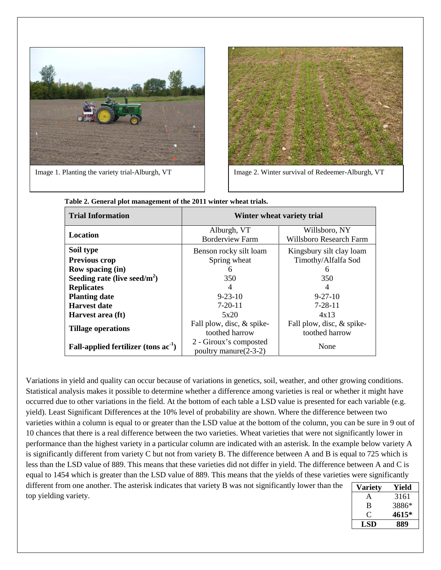



Image 1. Planting the variety trial-Alburgh, VT Image 2. Winter survival of Redeemer-Alburgh, VT

| <b>Trial Information</b>                  | Winter wheat variety trial                         |                           |  |  |  |  |
|-------------------------------------------|----------------------------------------------------|---------------------------|--|--|--|--|
| Location                                  | Alburgh, VT                                        | Willsboro, NY             |  |  |  |  |
|                                           | <b>Borderview Farm</b>                             | Willsboro Research Farm   |  |  |  |  |
| Soil type                                 | Benson rocky silt loam                             | Kingsbury silt clay loam  |  |  |  |  |
| Previous crop                             | Spring wheat                                       | Timothy/Alfalfa Sod       |  |  |  |  |
| <b>Row spacing (in)</b>                   | 6                                                  | h                         |  |  |  |  |
| Seeding rate (live seed/ $m2$ )           | 350                                                | 350                       |  |  |  |  |
| <b>Replicates</b>                         |                                                    |                           |  |  |  |  |
| <b>Planting date</b>                      | $9 - 23 - 10$                                      | $9 - 27 - 10$             |  |  |  |  |
| <b>Harvest date</b>                       | $7 - 20 - 11$                                      | $7 - 28 - 11$             |  |  |  |  |
| Harvest area (ft)                         | 5x20                                               | 4x13                      |  |  |  |  |
|                                           | Fall plow, disc, & spike-                          | Fall plow, disc, & spike- |  |  |  |  |
| <b>Tillage operations</b>                 | toothed harrow                                     | toothed harrow            |  |  |  |  |
| Fall-applied fertilizer (tons $ac^{-1}$ ) | 2 - Giroux's composted<br>poultry manure $(2-3-2)$ | None                      |  |  |  |  |

 **Table 2. General plot management of the 2011 winter wheat trials.**

Variations in yield and quality can occur because of variations in genetics, soil, weather, and other growing conditions. Statistical analysis makes it possible to determine whether a difference among varieties is real or whether it might have occurred due to other variations in the field. At the bottom of each table a LSD value is presented for each variable (e.g. yield). Least Significant Differences at the 10% level of probability are shown. Where the difference between two varieties within a column is equal to or greater than the LSD value at the bottom of the column, you can be sure in 9 out of 10 chances that there is a real difference between the two varieties. Wheat varieties that were not significantly lower in performance than the highest variety in a particular column are indicated with an asterisk. In the example below variety A is significantly different from variety C but not from variety B. The difference between A and B is equal to 725 which is less than the LSD value of 889. This means that these varieties did not differ in yield. The difference between A and C is equal to 1454 which is greater than the LSD value of 889. This means that the yields of these varieties were significantly different from one another. The asterisk indicates that variety B was not significantly lower than the top yielding variety. **Variety Yield** A 3161

| Variety | Yield |
|---------|-------|
| А       | 3161  |
| B       | 3886* |
|         | 4615* |
| LSD     | 889   |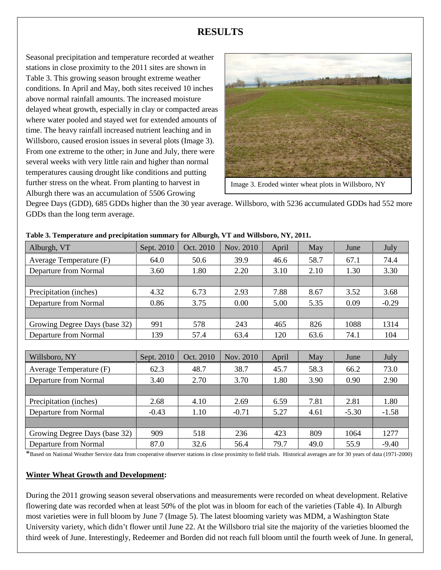# **RESULTS**

Seasonal precipitation and temperature recorded at weather stations in close proximity to the 2011 sites are shown in Table 3. This growing season brought extreme weather conditions. In April and May, both sites received 10 inches above normal rainfall amounts. The increased moisture delayed wheat growth, especially in clay or compacted areas where water pooled and stayed wet for extended amounts of time. The heavy rainfall increased nutrient leaching and in Willsboro, caused erosion issues in several plots (Image 3). From one extreme to the other; in June and July, there were several weeks with very little rain and higher than normal temperatures causing drought like conditions and putting further stress on the wheat. From planting to harvest in Alburgh there was an accumulation of 5506 Growing



Image 3. Eroded winter wheat plots in Willsboro, NY

Degree Days (GDD), 685 GDDs higher than the 30 year average. Willsboro, with 5236 accumulated GDDs had 552 more GDDs than the long term average.

| Alburgh, VT                   | Sept. 2010 | Oct. 2010 | Nov. 2010 | April | May  | June    | July    |
|-------------------------------|------------|-----------|-----------|-------|------|---------|---------|
| Average Temperature (F)       | 64.0       | 50.6      | 39.9      | 46.6  | 58.7 | 67.1    | 74.4    |
| Departure from Normal         | 3.60       | 1.80      | 2.20      | 3.10  | 2.10 | 1.30    | 3.30    |
|                               |            |           |           |       |      |         |         |
| Precipitation (inches)        | 4.32       | 6.73      | 2.93      | 7.88  | 8.67 | 3.52    | 3.68    |
| Departure from Normal         | 0.86       | 3.75      | 0.00      | 5.00  | 5.35 | 0.09    | $-0.29$ |
|                               |            |           |           |       |      |         |         |
| Growing Degree Days (base 32) | 991        | 578       | 243       | 465   | 826  | 1088    | 1314    |
| Departure from Normal         | 139        | 57.4      | 63.4      | 120   | 63.6 | 74.1    | 104     |
|                               |            |           |           |       |      |         |         |
| Willsboro, NY                 | Sept. 2010 | Oct. 2010 | Nov. 2010 | April | May  | June    | July    |
| Average Temperature (F)       | 62.3       | 48.7      | 38.7      | 45.7  | 58.3 | 66.2    | 73.0    |
| Departure from Normal         | 3.40       | 2.70      | 3.70      | 1.80  | 3.90 | 0.90    | 2.90    |
|                               |            |           |           |       |      |         |         |
| Precipitation (inches)        | 2.68       | 4.10      | 2.69      | 6.59  | 7.81 | 2.81    | 1.80    |
| Departure from Normal         | $-0.43$    | 1.10      | $-0.71$   | 5.27  | 4.61 | $-5.30$ | $-1.58$ |
|                               |            |           |           |       |      |         |         |
| Growing Degree Days (base 32) | 909        | 518       | 236       | 423   | 809  | 1064    | 1277    |
| Departure from Normal         | 87.0       | 32.6      | 56.4      | 79.7  | 49.0 | 55.9    | $-9.40$ |

| Table 3. Temperature and precipitation summary for Alburgh, VT and Willsboro, NY, 2011. |  |  |
|-----------------------------------------------------------------------------------------|--|--|
|                                                                                         |  |  |

\*Based on National Weather Service data from cooperative observer stations in close proximity to field trials. Historical averages are for 30 years of data (1971-2000)

#### **Winter Wheat Growth and Development:**

During the 2011 growing season several observations and measurements were recorded on wheat development. Relative flowering date was recorded when at least 50% of the plot was in bloom for each of the varieties (Table 4). In Alburgh most varieties were in full bloom by June 7 (Image 5). The latest blooming variety was MDM, a Washington State University variety, which didn't flower until June 22. At the Willsboro trial site the majority of the varieties bloomed the third week of June. Interestingly, Redeemer and Borden did not reach full bloom until the fourth week of June. In general,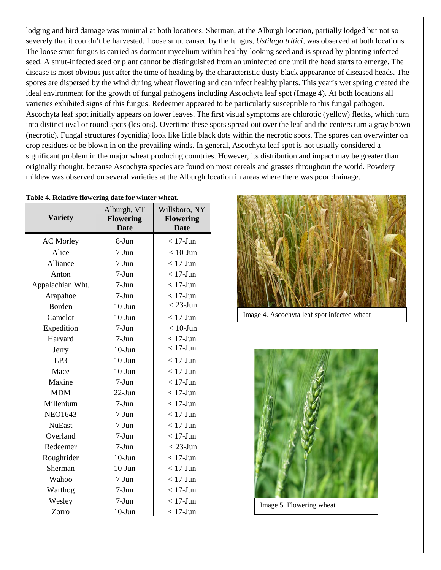lodging and bird damage was minimal at both locations. Sherman, at the Alburgh location, partially lodged but not so severely that it couldn't be harvested. Loose smut caused by the fungus*, Ustilago tritici*, was observed at both locations. The loose smut fungus is carried as dormant mycelium within healthy-looking seed and is spread by planting infected seed. A smut-infected seed or plant cannot be distinguished from an uninfected one until the head starts to emerge. The disease is most obvious just after the time of heading by the characteristic dusty black appearance of diseased heads. The spores are dispersed by the wind during wheat flowering and can infect healthy plants. This year's wet spring created the ideal environment for the growth of fungal pathogens including Ascochyta leaf spot (Image 4). At both locations all varieties exhibited signs of this fungus. Redeemer appeared to be particularly susceptible to this fungal pathogen. Ascochyta leaf spot initially appears on lower leaves. The first visual symptoms are chlorotic (yellow) flecks, which turn into distinct oval or round spots (lesions). Overtime these spots spread out over the leaf and the centers turn a gray brown (necrotic). Fungal structures (pycnidia) look like little black dots within the necrotic spots. The spores can overwinter on crop residues or be blown in on the prevailing winds. In general, Ascochyta leaf spot is not usually considered a significant problem in the major wheat producing countries. However, its distribution and impact may be greater than originally thought, because Ascochyta species are found on most cereals and grasses throughout the world. Powdery mildew was observed on several varieties at the Alburgh location in areas where there was poor drainage.

| <b>Variety</b>   | Alburgh, VT<br><b>Flowering</b><br><b>Date</b> | Willsboro, NY<br><b>Flowering</b><br><b>Date</b> |
|------------------|------------------------------------------------|--------------------------------------------------|
| <b>AC</b> Morley | 8-Jun                                          | $< 17$ -Jun                                      |
| Alice            | $7-Jun$                                        | $< 10$ -Jun                                      |
| Alliance         | $7-Jun$                                        | $< 17$ -Jun                                      |
| Anton            | $7-Jun$                                        | $< 17$ -Jun                                      |
| Appalachian Wht. | $7-Jun$                                        | $< 17$ -Jun                                      |
| Arapahoe         | $7-Jun$                                        | $< 17$ -Jun                                      |
| <b>Borden</b>    | $10-J$ un                                      | $<$ 23-Jun                                       |
| Camelot          | $10-J$ un                                      | $< 17$ -Jun                                      |
| Expedition       | 7-Jun                                          | $< 10$ -Jun                                      |
| Harvard          | $7-Jun$                                        | $< 17$ -Jun                                      |
| Jerry            | $10-J$ un                                      | $< 17$ -Jun                                      |
| LP3              | $10-J$ un                                      | $< 17$ -Jun                                      |
| Mace             | $10-J$ un                                      | $< 17$ -Jun                                      |
| Maxine           | $7-Jun$                                        | $< 17$ -Jun                                      |
| <b>MDM</b>       | $22$ -Jun                                      | $< 17$ -Jun                                      |
| Millenium        | $7-Jun$                                        | $< 17$ -Jun                                      |
| <b>NEO1643</b>   | $7-Jun$                                        | $< 17$ -Jun                                      |
| <b>NuEast</b>    | $7-Jun$                                        | $< 17$ -Jun                                      |
| Overland         | 7-Jun                                          | $< 17$ -Jun                                      |
| Redeemer         | 7-Jun                                          | $<$ 23-Jun                                       |
| Roughrider       | $10-J$ un                                      | $< 17$ -Jun                                      |
| Sherman          | $10-J$ un                                      | $< 17$ -Jun                                      |
| Wahoo            | $7-Jun$                                        | $< 17$ -Jun                                      |
| Warthog          | 7-Jun                                          | $< 17$ -Jun                                      |
| Wesley           | $7-Jun$                                        | $< 17$ -Jun                                      |
| Zorro            | $10-J$ un                                      | $< 17$ -Jun                                      |

| Table 4. Relative flowering date for winter wheat. |  |
|----------------------------------------------------|--|
|----------------------------------------------------|--|



Image 4. Ascochyta leaf spot infected wheat



Image 5. Flowering wheat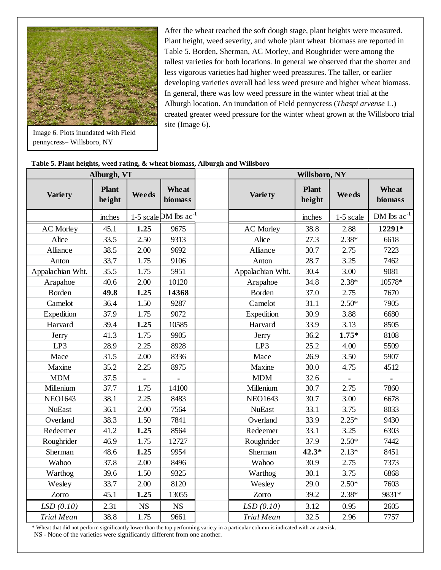

Image 6. Plots inundated with Field pennycress– Willsboro, NY

After the wheat reached the soft dough stage, plant heights were measured. Plant height, weed severity, and whole plant wheat biomass are reported in Table 5. Borden, Sherman, AC Morley, and Roughrider were among the tallest varieties for both locations. In general we observed that the shorter and less vigorous varieties had higher weed preassures. The taller, or earlier developing varieties overall had less weed presure and higher wheat biomass. In general, there was low weed pressure in the winter wheat trial at the Alburgh location. An inundation of Field pennycress (*Thaspi arvense* L.) created greater weed pressure for the winter wheat grown at the Willsboro trial site (Image 6).

## **Variety Plant Plant weeds Wheat biomass biomass biomass Plant variety Plant Plant Weeds Wheat height Weeds biomass biomass** inches  $1-5$  scale DM lbs  $ac^{-1}$   $|$  inches  $1-5$  scale  $|$  DM lbs  $ac^{-1}$ AC Morley 45.1 **1.25** 9675 AC Morley 38.8 2.88 **12291\*** Alice 33.5 2.50 9313 Alice 27.3 2.38\* 6618 Alliance | 38.5 | 2.00 | 9692 | | | | Alliance | 30.7 | 2.75 | 7223 Anton 33.7 1.75 9106 Anton 28.7 3.25 7462 Appalachian Wht. 35.5 1.75 5951 Appalachian Wht. 30.4 3.00 9081 Arapahoe 40.6 2.00 10120 Arapahoe 34.8 2.38\* 10578\* Borden **49.8 1.25 14368** Borden 37.0 2.75 7670 Camelot 36.4 1.50 9287 Camelot 31.1 2.50\* 7905 Expedition 37.9 1.75 9072 Expedition 30.9 3.88 6680 Harvard | 39.4 | **1.25** | 10585 | | Harvard | 33.9 | 3.13 | 8505 Jerry 41.3 1.75 9905 Jerry 36.2 **1.75\*** 8108 LP3 | 28.9 | 2.25 | 8928 | | | | | | | | | 25.2 | 4.00 | 5509 Mace | 31.5 | 2.00 | 8336 | | | | Mace | 26.9 | 3.50 | 5907 Maxine | 35.2 | 2.25 | 8975 | | | Maxine | 30.0 | 4.75 | 4512 MDM 37.5 - - - MDM 32.6 - -Millenium | 37.7 | 1.75 | 14100 | | | | Millenium | 30.7 | 2.75 | 7860 NEO1643 38.1 2.25 8483 NEO1643 30.7 3.00 6678 NuEast | 36.1 | 2.00 | 7564 | | NuEast | 33.1 | 3.75 | 8033 Overland | 38.3 | 1.50 | 7841 | | | | | Overland | 33.9 | 2.25<sup>\*</sup> | 9430 Redeemer | 41.2 | **1.25** | 8564 | Redeemer | 33.1 | 3.25 | 6303 Roughrider | 46.9 | 1.75 | 12727 | | Roughrider | 37.9 | 2.50\* | 7442 Sherman | 48.6 | **1.25** | 9954 | | | Sherman | **42.3\*** | 2.13\* | 8451 Wahoo 37.8 2.00 8496 Wahoo 30.9 2.75 7373 Warthog 39.6 1.50 9325 Warthog 30.1 3.75 6868 Wesley 33.7 2.00 8120 Wesley 29.0 2.50\* 7603 Zorro 45.1 **1.25** 13055 Zorro 39.2 2.38\* 9831\* *LSD* (0.10) | 2.31 | NS | NS | *LSD* (0.10) | 3.12 | 0.95 | 2605 *Trial Mean* 38.8 1.75 9661 *Trial Mean* 32.5 2.96 7757 **Alburgh, VT Willsboro, NY**

#### **Table 5. Plant heights, weed rating, & wheat biomass, Alburgh and Willsboro**

 \* Wheat that did not perform significantly lower than the top performing variety in a particular column is indicated with an asterisk. NS - None of the varieties were significantly different from one another.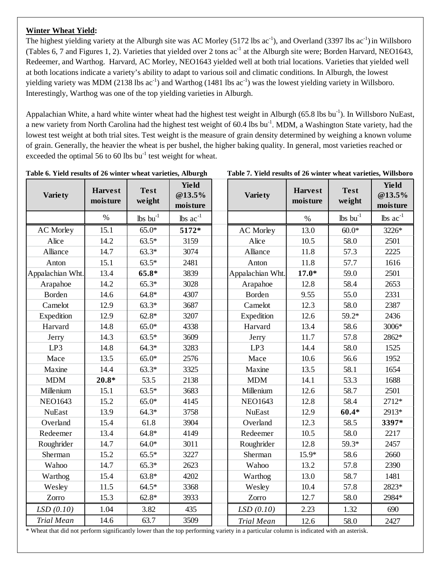### **Winter Wheat Yield:**

The highest yielding variety at the Alburgh site was AC Morley (5172 lbs  $ac^{-1}$ ), and Overland (3397 lbs  $ac^{-1}$ ) in Willsboro (Tables 6, 7 and Figures 1, 2). Varieties that yielded over 2 tons  $ac^{-1}$  at the Alburgh site were; Borden Harvard, NEO1643, Redeemer, and Warthog. Harvard, AC Morley, NEO1643 yielded well at both trial locations. Varieties that yielded well at both locations indicate a variety's ability to adapt to various soil and climatic conditions. In Alburgh, the lowest yielding variety was MDM (2138 lbs  $ac^{-1}$ ) and Warthog (1481 lbs  $ac^{-1}$ ) was the lowest yielding variety in Willsboro. Interestingly, Warthog was one of the top yielding varieties in Alburgh.

Appalachian White, a hard white winter wheat had the highest test weight in Alburgh (65.8 lbs bu<sup>-1</sup>). In Willsboro NuEast, a new variety from North Carolina had the highest test weight of 60.4 lbs bu<sup>-1</sup>. MDM, a Washington State variety, had the lowest test weight at both trial sites. Test weight is the measure of grain density determined by weighing a known volume of grain. Generally, the heavier the wheat is per bushel, the higher baking quality. In general, most varieties reached or exceeded the optimal 56 to 60 lbs  $bu^{-1}$  test weight for wheat.

| <b>Variety</b>    | <b>Harvest</b><br>moisture | <b>Test</b><br>weight         | <b>Yield</b><br>@13.5%<br>moisture | <b>Variety</b>    | <b>Harvest</b><br>moisture | <b>Test</b><br>weight | <b>Yield</b><br>@13.5%<br>moisture |
|-------------------|----------------------------|-------------------------------|------------------------------------|-------------------|----------------------------|-----------------------|------------------------------------|
|                   | $\%$                       | $\text{lbs}$ bu <sup>-1</sup> | lbs $ac^{-1}$                      |                   | $\%$                       | lbs $bu^{-1}$         | lbs $\rm{ac}^{\text{-}1}$          |
| <b>AC</b> Morley  | 15.1                       | $65.0*$                       | 5172*                              | <b>AC</b> Morley  | 13.0                       | $60.0*$               | 3226*                              |
| Alice             | 14.2                       | $63.5*$                       | 3159                               | Alice             | 10.5                       | 58.0                  | 2501                               |
| Alliance          | 14.7                       | $63.3*$                       | 3074                               | Alliance          | 11.8                       | 57.3                  | 2225                               |
| Anton             | 15.1                       | $63.5*$                       | 2481                               | Anton             | 11.8                       | 57.7                  | 1616                               |
| Appalachian Wht.  | 13.4                       | $65.8*$                       | 3839                               | Appalachian Wht.  | $17.0*$                    | 59.0                  | 2501                               |
| Arapahoe          | 14.2                       | $65.3*$                       | 3028                               | Arapahoe          | 12.8                       | 58.4                  | 2653                               |
| Borden            | 14.6                       | $64.8*$                       | 4307                               | Borden            | 9.55                       | 55.0                  | 2331                               |
| Camelot           | 12.9                       | $63.3*$                       | 3687                               | Camelot           | 12.3                       | 58.0                  | 2387                               |
| Expedition        | 12.9                       | $62.8*$                       | 3207                               | Expedition        | 12.6                       | $59.2*$               | 2436                               |
| Harvard           | 14.8                       | $65.0*$                       | 4338                               | Harvard           | 13.4                       | 58.6                  | 3006*                              |
| Jerry             | 14.3                       | $63.5*$                       | 3609                               | Jerry             | 11.7                       | 57.8                  | 2862*                              |
| LP3               | 14.8                       | $64.3*$                       | 3283                               | LP3               | 14.4                       | 58.0                  | 1525                               |
| Mace              | 13.5                       | $65.0*$                       | 2576                               | Mace              | 10.6                       | 56.6                  | 1952                               |
| Maxine            | 14.4                       | $63.3*$                       | 3325                               | Maxine            | 13.5                       | 58.1                  | 1654                               |
| <b>MDM</b>        | $20.8*$                    | 53.5                          | 2138                               | <b>MDM</b>        | 14.1                       | 53.3                  | 1688                               |
| Millenium         | 15.1                       | $63.5*$                       | 3683                               | Millenium         | 12.6                       | 58.7                  | 2501                               |
| <b>NEO1643</b>    | 15.2                       | $65.0*$                       | 4145                               | <b>NEO1643</b>    | 12.8                       | 58.4                  | 2712*                              |
| <b>NuEast</b>     | 13.9                       | $64.3*$                       | 3758                               | <b>NuEast</b>     | 12.9                       | $60.4*$               | 2913*                              |
| Overland          | 15.4                       | 61.8                          | 3904                               | Overland          | 12.3                       | 58.5                  | 3397*                              |
| Redeemer          | 13.4                       | $64.8*$                       | 4149                               | Redeemer          | 10.5                       | 58.0                  | 2217                               |
| Roughrider        | 14.7                       | $64.0*$                       | 3011                               | Roughrider        | 12.8                       | 59.3*                 | 2457                               |
| Sherman           | 15.2                       | $65.5*$                       | 3227                               | Sherman           | 15.9*                      | 58.6                  | 2660                               |
| Wahoo             | 14.7                       | $65.3*$                       | 2623                               | Wahoo             | 13.2                       | 57.8                  | 2390                               |
| Warthog           | 15.4                       | $63.8*$                       | 4202                               | Warthog           | 13.0                       | 58.7                  | 1481                               |
| Wesley            | 11.5                       | $64.5*$                       | 3368                               | Wesley            | 10.4                       | 57.8                  | 2823*                              |
| Zorro             | 15.3                       | $62.8*$                       | 3933                               | Zorro             | 12.7                       | 58.0                  | 2984*                              |
| LSD(0.10)         | 1.04                       | 3.82                          | 435                                | LSD(0.10)         | 2.23                       | 1.32                  | 690                                |
| <b>Trial Mean</b> | 14.6                       | 63.7                          | 3509                               | <b>Trial Mean</b> | 12.6                       | 58.0                  | 2427                               |

**Table 6. Yield results of 26 winter wheat varieties, Alburgh Table 7. Yield results of 26 winter wheat varieties, Willsboro**

*Trial Mean* 14.6 63.7 <sup>3509</sup> *Trial Mean* 12.6 58.0 2427 \* Wheat that did not perform significantly lower than the top performing variety in a particular column is indicated with an asterisk.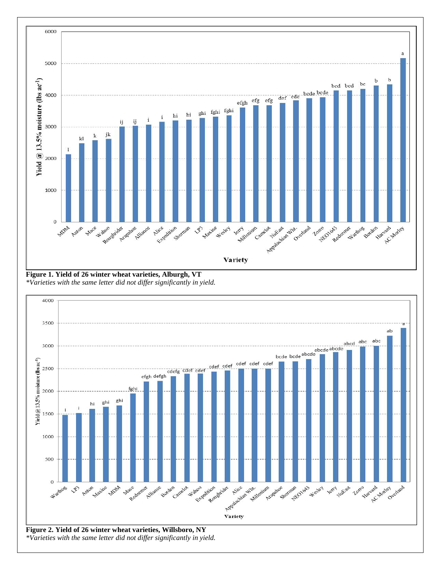

**Figure 1. Yield of 26 winter wheat varieties, Alburgh, VT** *\*Varieties with the same letter did not differ significantly in yield.*



*\*Varieties with the same letter did not differ significantly in yield.*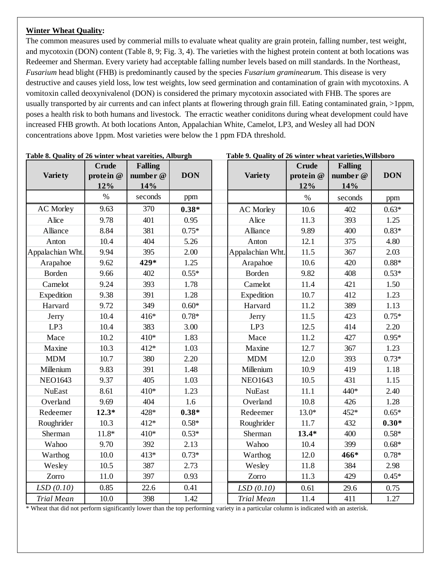#### **Winter Wheat Quality:**

The common measures used by commerial mills to evaluate wheat quality are grain protein, falling number, test weight, and mycotoxin (DON) content (Table 8, 9; Fig. 3, 4). The varieties with the highest protein content at both locations was Redeemer and Sherman. Every variety had acceptable falling number levels based on mill standards. In the Northeast, *Fusarium* head blight (FHB) is predominantly caused by the species *Fusarium graminearum*. This disease is very destructive and causes yield loss, low test weights, low seed germination and contamination of grain with mycotoxins. A vomitoxin called deoxynivalenol (DON) is considered the primary mycotoxin associated with FHB. The spores are usually transported by air currents and can infect plants at flowering through grain fill. Eating contaminated grain, >1ppm, poses a health risk to both humans and livestock. The erractic weather coniditons during wheat development could have increased FHB growth. At both locations Anton, Appalachian White, Camelot, LP3, and Wesley all had DON concentrations above 1ppm. Most varieties were below the 1 ppm FDA threshold.

| Table 8. Quality of 26 winter wheat vareities, Alburgh |                                  |                                   |            | Table 9. Quality of 26 winter wheat varieties, Willsboro |                                  |                                   |            |
|--------------------------------------------------------|----------------------------------|-----------------------------------|------------|----------------------------------------------------------|----------------------------------|-----------------------------------|------------|
| <b>Variety</b>                                         | <b>Crude</b><br>protein @<br>12% | <b>Falling</b><br>number @<br>14% | <b>DON</b> | <b>Variety</b>                                           | <b>Crude</b><br>protein @<br>12% | <b>Falling</b><br>number @<br>14% | <b>DON</b> |
|                                                        | $\%$                             | seconds                           | ppm        |                                                          | $\%$                             | seconds                           | ppm        |
| <b>AC</b> Morley                                       | 9.63                             | 370                               | $0.38*$    | <b>AC</b> Morley                                         | 10.6                             | 402                               | $0.63*$    |
| Alice                                                  | 9.78                             | 401                               | 0.95       | Alice                                                    | 11.3                             | 393                               | 1.25       |
| Alliance                                               | 8.84                             | 381                               | $0.75*$    | Alliance                                                 | 9.89                             | 400                               | $0.83*$    |
| Anton                                                  | 10.4                             | 404                               | 5.26       | Anton                                                    | 12.1                             | 375                               | 4.80       |
| Appalachian Wht.                                       | 9.94                             | 395                               | 2.00       | Appalachian Wht.                                         | 11.5                             | 367                               | 2.03       |
| Arapahoe                                               | 9.62                             | 429*                              | 1.25       | Arapahoe                                                 | 10.6                             | 420                               | $0.88*$    |
| Borden                                                 | 9.66                             | 402                               | $0.55*$    | Borden                                                   | 9.82                             | 408                               | $0.53*$    |
| Camelot                                                | 9.24                             | 393                               | 1.78       | Camelot                                                  | 11.4                             | 421                               | 1.50       |
| Expedition                                             | 9.38                             | 391                               | 1.28       | Expedition                                               | 10.7                             | 412                               | 1.23       |
| Harvard                                                | 9.72                             | 349                               | $0.60*$    | Harvard                                                  | 11.2                             | 389                               | 1.13       |
| Jerry                                                  | 10.4                             | 416*                              | $0.78*$    | Jerry                                                    | 11.5                             | 423                               | $0.75*$    |
| LP3                                                    | 10.4                             | 383                               | 3.00       | LP3                                                      | 12.5                             | 414                               | 2.20       |
| Mace                                                   | 10.2                             | $410*$                            | 1.83       | Mace                                                     | 11.2                             | 427                               | $0.95*$    |
| Maxine                                                 | 10.3                             | 412*                              | 1.03       | Maxine                                                   | 12.7                             | 367                               | 1.23       |
| <b>MDM</b>                                             | 10.7                             | 380                               | 2.20       | <b>MDM</b>                                               | 12.0                             | 393                               | $0.73*$    |
| Millenium                                              | 9.83                             | 391                               | 1.48       | Millenium                                                | 10.9                             | 419                               | 1.18       |
| <b>NEO1643</b>                                         | 9.37                             | 405                               | 1.03       | <b>NEO1643</b>                                           | 10.5                             | 431                               | 1.15       |
| <b>NuEast</b>                                          | 8.61                             | 410*                              | 1.23       | <b>NuEast</b>                                            | 11.1                             | 440*                              | 2.40       |
| Overland                                               | 9.69                             | 404                               | 1.6        | Overland                                                 | 10.8                             | 426                               | 1.28       |
| Redeemer                                               | $12.3*$                          | 428*                              | $0.38*$    | Redeemer                                                 | $13.0*$                          | 452*                              | $0.65*$    |
| Roughrider                                             | 10.3                             | 412*                              | $0.58*$    | Roughrider                                               | 11.7                             | 432                               | $0.30*$    |
| Sherman                                                | $11.8*$                          | 410*                              | $0.53*$    | Sherman                                                  | $13.4*$                          | 400                               | $0.58*$    |
| Wahoo                                                  | 9.70                             | 392                               | 2.13       | Wahoo                                                    | 10.4                             | 399                               | $0.68*$    |
| Warthog                                                | 10.0                             | 413*                              | $0.73*$    | Warthog                                                  | 12.0                             | 466*                              | $0.78*$    |
| Wesley                                                 | 10.5                             | 387                               | 2.73       | Wesley                                                   | 11.8                             | 384                               | 2.98       |
| Zorro                                                  | 11.0                             | 397                               | 0.93       | Zorro                                                    | 11.3                             | 429                               | $0.45*$    |
| LSD(0.10)                                              | 0.85                             | 22.6                              | 0.41       | LSD(0.10)                                                | 0.61                             | 29.6                              | 0.75       |
| <b>Trial Mean</b>                                      | 10.0                             | 398                               | 1.42       | Trial Mean                                               | 11.4                             | 411                               | 1.27       |

\* Wheat that did not perform significantly lower than the top performing variety in a particular column is indicated with an asterisk.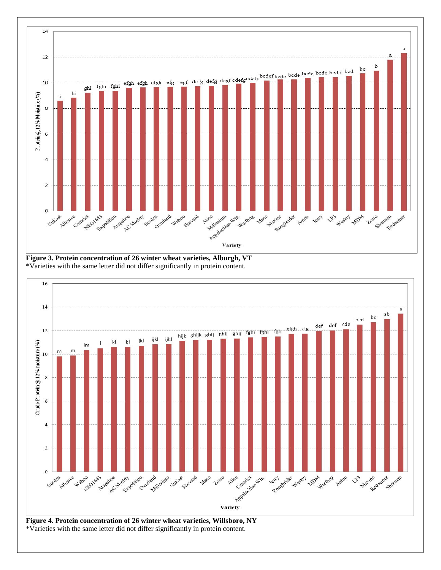

**Figure 3. Protein concentration of 26 winter wheat varieties, Alburgh, VT** \*Varieties with the same letter did not differ significantly in protein content.



**Figure 4. Protein concentration of 26 winter wheat varieties, Willsboro, NY** \*Varieties with the same letter did not differ significantly in protein content.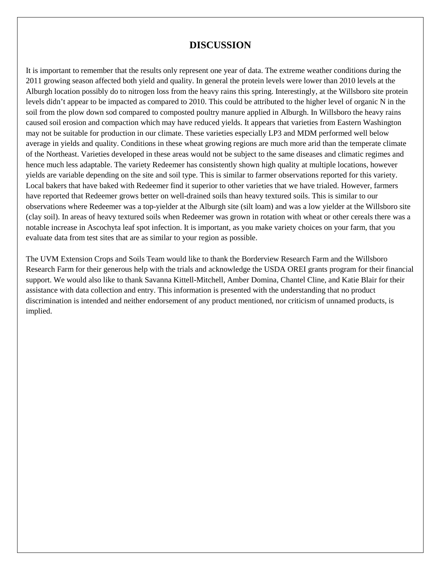## **DISCUSSION**

It is important to remember that the results only represent one year of data. The extreme weather conditions during the 2011 growing season affected both yield and quality. In general the protein levels were lower than 2010 levels at the Alburgh location possibly do to nitrogen loss from the heavy rains this spring. Interestingly, at the Willsboro site protein levels didn't appear to be impacted as compared to 2010. This could be attributed to the higher level of organic N in the soil from the plow down sod compared to composted poultry manure applied in Alburgh. In Willsboro the heavy rains caused soil erosion and compaction which may have reduced yields. It appears that varieties from Eastern Washington may not be suitable for production in our climate. These varieties especially LP3 and MDM performed well below average in yields and quality. Conditions in these wheat growing regions are much more arid than the temperate climate of the Northeast. Varieties developed in these areas would not be subject to the same diseases and climatic regimes and hence much less adaptable. The variety Redeemer has consistently shown high quality at multiple locations, however yields are variable depending on the site and soil type. This is similar to farmer observations reported for this variety. Local bakers that have baked with Redeemer find it superior to other varieties that we have trialed. However, farmers have reported that Redeemer grows better on well-drained soils than heavy textured soils. This is similar to our observations where Redeemer was a top-yielder at the Alburgh site (silt loam) and was a low yielder at the Willsboro site (clay soil). In areas of heavy textured soils when Redeemer was grown in rotation with wheat or other cereals there was a notable increase in Ascochyta leaf spot infection. It is important, as you make variety choices on your farm, that you evaluate data from test sites that are as similar to your region as possible.

The UVM Extension Crops and Soils Team would like to thank the Borderview Research Farm and the Willsboro Research Farm for their generous help with the trials and acknowledge the USDA OREI grants program for their financial support. We would also like to thank Savanna Kittell-Mitchell, Amber Domina, Chantel Cline, and Katie Blair for their assistance with data collection and entry. This information is presented with the understanding that no product discrimination is intended and neither endorsement of any product mentioned, nor criticism of unnamed products, is implied.